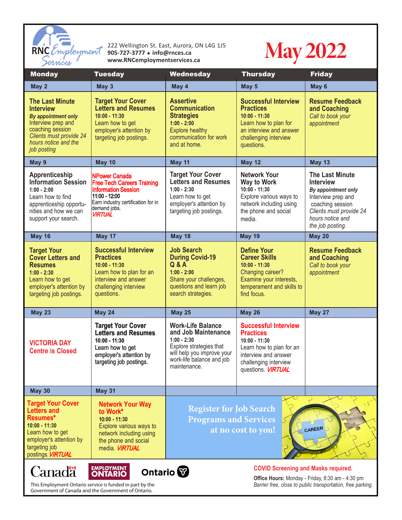

222 Wellington St. East, Aurora, ON L4G 1J5<br>905-727-3777 • info@rnces.ca<br>www.RNCemploymentservices.ca **905-727-3777** <sup>l</sup> **info@rnces.ca** RNC *Employment* 905-727-3777 • info@rnces.ca<br> **Censices** www.RNCemploymentservices.ca



| <b>Monday</b>                                                                                                                                                                        | <b>Tuesday</b>                                                                                                                                                                   | Wednesday                                                                                                                                                              | <b>Thursday</b>                                                                                                                                                              | <b>Friday</b>                                                                                                                                                                  |
|--------------------------------------------------------------------------------------------------------------------------------------------------------------------------------------|----------------------------------------------------------------------------------------------------------------------------------------------------------------------------------|------------------------------------------------------------------------------------------------------------------------------------------------------------------------|------------------------------------------------------------------------------------------------------------------------------------------------------------------------------|--------------------------------------------------------------------------------------------------------------------------------------------------------------------------------|
| May 2                                                                                                                                                                                | May 3                                                                                                                                                                            | May 4                                                                                                                                                                  | May 5                                                                                                                                                                        | May 6                                                                                                                                                                          |
| <b>The Last Minute</b><br><b>Interview</b><br>By appointment only<br>Interview prep and<br>coaching session<br>Clients must provide 24<br>hours notice and the<br>job posting        | <b>Target Your Cover</b><br><b>Letters and Resumes</b><br>$10:00 - 11:30$<br>Learn how to get<br>employer's attention by<br>targeting job postings.                              | <b>Assertive</b><br><b>Communication</b><br><b>Strategies</b><br>$1:00 - 2:00$<br><b>Explore healthy</b><br>communication for work<br>and at home.                     | <b>Successful Interview</b><br><b>Practices</b><br>$10:00 - 11:30$<br>Learn how to plan for<br>an interview and answer<br>challenging interview<br>questions.                | <b>Resume Feedback</b><br>and Coaching<br>Call to book your<br>appointment                                                                                                     |
| May 9                                                                                                                                                                                | <b>May 10</b>                                                                                                                                                                    | May 11                                                                                                                                                                 | <b>May 12</b>                                                                                                                                                                | <b>May 13</b>                                                                                                                                                                  |
| Apprenticeship<br><b>Information Session</b><br>$1:00 - 2:00$<br>Learn how to find<br>apprenticeship opportu-<br>nities and how we can<br>support your search.                       | <b>NPower Canada</b><br><b>Free Tech Careers Training</b><br><b>Information Session</b><br>11:00 - 12:00<br>Earn industry certification for in<br>demand jobs.<br><b>VIRTUAL</b> | <b>Target Your Cover</b><br><b>Letters and Resumes</b><br>$1:00 - 2:30$<br>Learn how to get<br>employer's attention by<br>targeting job postings.                      | <b>Network Your</b><br>Way to Work<br>$10:00 - 11:30$<br>Explore various ways to<br>network including using<br>the phone and social<br>media.                                | <b>The Last Minute</b><br><b>Interview</b><br>By appointment only<br>Interview prep and<br>coaching session<br>Clients must provide 24<br>hours notice and<br>the job posting. |
| <b>May 16</b>                                                                                                                                                                        | May 17                                                                                                                                                                           | May 18                                                                                                                                                                 | <b>May 19</b>                                                                                                                                                                | <b>May 20</b>                                                                                                                                                                  |
| <b>Target Your</b><br><b>Cover Letters and</b><br><b>Resumes</b><br>$1:00 - 2:30$<br>Learn how to get<br>employer's attention by<br>targeting job postings.                          | <b>Successful Interview</b><br><b>Practices</b><br>$10:00 - 11:30$<br>Learn how to plan for an<br>interview and answer<br>challenging interview<br>questions.                    | <b>Job Search</b><br><b>During Covid-19</b><br>Q & A<br>$1:00 - 2:00$<br>Share your challenges,<br>questions and learn job<br>search strategies.                       | <b>Define Your</b><br><b>Career Skills</b><br>$10:00 - 11:30$<br>Changing career?<br>Examine your interests,<br>temperament and skills to<br>find focus.                     | <b>Resume Feedback</b><br>and Coaching<br>Call to book your<br>appointment                                                                                                     |
| <b>May 23</b>                                                                                                                                                                        | <b>May 24</b>                                                                                                                                                                    | <b>May 25</b>                                                                                                                                                          | <b>May 26</b>                                                                                                                                                                | <b>May 27</b>                                                                                                                                                                  |
| <b>VICTORIA DAY</b><br><b>Centre is Closed</b>                                                                                                                                       | <b>Target Your Cover</b><br><b>Letters and Resumes</b><br>$10:00 - 11:30$<br>Learn how to get<br>employer's attention by<br>targeting job postings.                              | <b>Work-Life Balance</b><br>and Job Maintenance<br>$1:00 - 2:30$<br>Explore strategies that<br>will help you improve your<br>work-life balance and job<br>maintenance. | <b>Successful Interview</b><br><b>Practices</b><br>$10:00 - 11:30$<br>Learn how to plan for an<br>interview and answer<br>challenging interview<br>questions. <b>VIRTUAL</b> |                                                                                                                                                                                |
| <b>May 30</b>                                                                                                                                                                        | <b>May 31</b>                                                                                                                                                                    |                                                                                                                                                                        |                                                                                                                                                                              |                                                                                                                                                                                |
| <b>Target Your Cover</b><br><b>Letters and</b><br>Resumes*<br>$10:00 - 11:30$<br>Learn how to get<br>employer's attention by<br>targeting job<br>postings. <b>VIRTUAL</b>            | <b>Network Your Way</b><br>to Work*<br>$10:00 - 11:30$<br>Explore various ways to<br>network including using<br>the phone and social<br>media. <b>VIRTUAL</b>                    | <b>Register for Job Search</b><br><b>Programs and Services</b><br>CAREER<br>at no cost to you!                                                                         |                                                                                                                                                                              |                                                                                                                                                                                |
| <b>EMPLOYMENT</b><br><b>COVID Screening and Masks required.</b><br><b>Canadä</b><br>Ontario <sup>7</sup><br>$\bigcap$ ffice Houre: Monday Friday 8:30 am $\bigcap_{n=1}^{\infty}$ am |                                                                                                                                                                                  |                                                                                                                                                                        |                                                                                                                                                                              |                                                                                                                                                                                |

This Employment Ontario service is funded in part by the *Barrier free, close to public transportation, free parking.* Government of Canada and the Government of Ontario.

**Office Hours:** Monday - Friday, 8:30 am - 4:30 pm